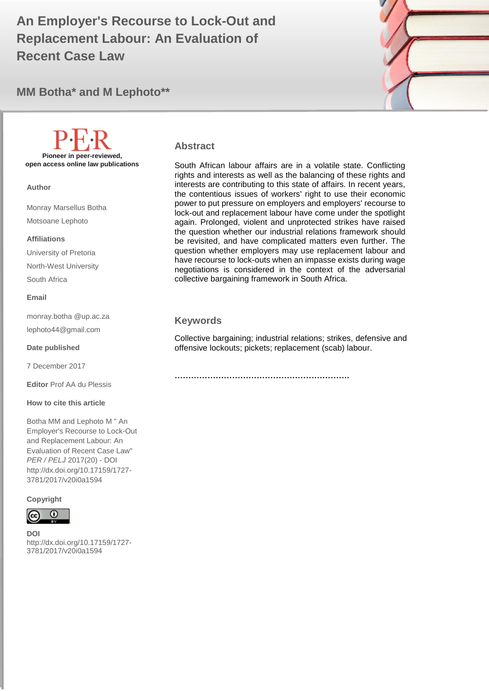# **Replacement Labour: An Evaluation of**  $\Box$ **An Employer's Recourse to Lock-Out and Recent Case Law**





# **Pioneer in peer-reviewed, open access online law publications**

**Author**

Monray Marsellus Botha Motsoane Lephoto

#### **Affiliations**

University of Pretoria North-West University South Africa

#### **Email**

monray.botha @up.ac.za lephoto44@gmail.com

#### **Date published**

7 December 2017

**Editor** Prof AA du Plessis

#### **How to cite this article**

Botha MM and Lephoto M " An Employer's Recourse to Lock-Out and Replacement Labour: An Evaluation of Recent Case Law" *PER / PELJ* 2017(20) - DOI http://dx.doi.org/10.17159/1727- 3781/2017/v20i0a1594

#### **Copyright**



**DOI**  http://dx.doi.org/10.17159/1727- 3781/2017/v20i0a1594

.

#### **Abstract**

South African labour affairs are in a volatile state. Conflicting rights and interests as well as the balancing of these rights and interests are contributing to this state of affairs. In recent years, the contentious issues of workers' right to use their economic power to put pressure on employers and employers' recourse to lock-out and replacement labour have come under the spotlight again. Prolonged, violent and unprotected strikes have raised the question whether our industrial relations framework should be revisited, and have complicated matters even further. The question whether employers may use replacement labour and have recourse to lock-outs when an impasse exists during wage negotiations is considered in the context of the adversarial collective bargaining framework in South Africa.

### **Keywords**

Collective bargaining; industrial relations; strikes, defensive and offensive lockouts; pickets; replacement (scab) labour.

**……………………………………………………….**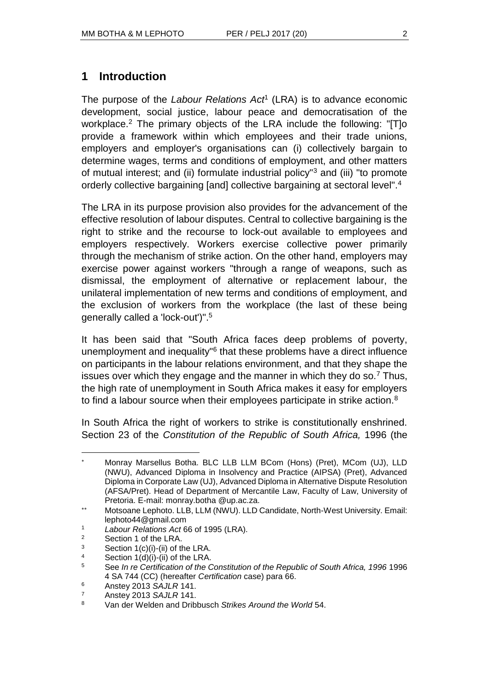# **1 Introduction**

The purpose of the *Labour Relations Act*<sup>1</sup> (LRA) is to advance economic development, social justice, labour peace and democratisation of the workplace.<sup>2</sup> The primary objects of the LRA include the following: "ITIo provide a framework within which employees and their trade unions, employers and employer's organisations can (i) collectively bargain to determine wages, terms and conditions of employment, and other matters of mutual interest; and (ii) formulate industrial policy"<sup>3</sup> and (iii) "to promote orderly collective bargaining [and] collective bargaining at sectoral level".<sup>4</sup>

The LRA in its purpose provision also provides for the advancement of the effective resolution of labour disputes. Central to collective bargaining is the right to strike and the recourse to lock-out available to employees and employers respectively. Workers exercise collective power primarily through the mechanism of strike action. On the other hand, employers may exercise power against workers "through a range of weapons, such as dismissal, the employment of alternative or replacement labour, the unilateral implementation of new terms and conditions of employment, and the exclusion of workers from the workplace (the last of these being generally called a 'lock-out')".<sup>5</sup>

It has been said that "South Africa faces deep problems of poverty, unemployment and inequality<sup>"6</sup> that these problems have a direct influence on participants in the labour relations environment, and that they shape the issues over which they engage and the manner in which they do so.<sup>7</sup> Thus, the high rate of unemployment in South Africa makes it easy for employers to find a labour source when their employees participate in strike action.<sup>8</sup>

In South Africa the right of workers to strike is constitutionally enshrined. Section 23 of the *Constitution of the Republic of South Africa,* 1996 (the

Section 1 of the LRA.

l

4 Section  $1(d)(i)-(ii)$  of the LRA.

Monray Marsellus Botha. BLC LLB LLM BCom (Hons) (Pret), MCom (UJ), LLD (NWU), Advanced Diploma in Insolvency and Practice (AIPSA) (Pret), Advanced Diploma in Corporate Law (UJ), Advanced Diploma in Alternative Dispute Resolution (AFSA/Pret). Head of Department of Mercantile Law, Faculty of Law, University of Pretoria. E-mail: monray.botha @up.ac.za.

Motsoane Lephoto. LLB, LLM (NWU). LLD Candidate, North-West University. Email: lephoto44@gmail.com

<sup>1</sup> *Labour Relations Act* 66 of 1995 (LRA).

 $3$  Section 1(c)(i)-(ii) of the LRA.

<sup>5</sup> See *In re Certification of the Constitution of the Republic of South Africa, 1996* 1996 4 SA 744 (CC) (hereafter *Certification* case) para 66.

<sup>6</sup> Anstey 2013 *SAJLR* 141.

<sup>7</sup> Anstey 2013 *SAJLR* 141.

<sup>8</sup> Van der Welden and Dribbusch *Strikes Around the World* 54.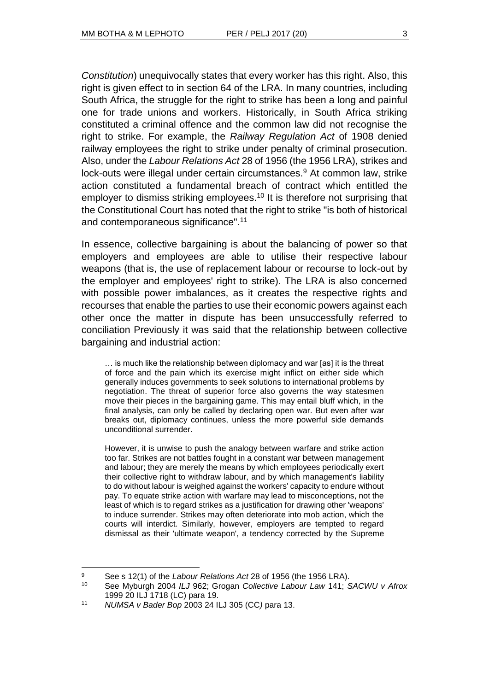*Constitution*) unequivocally states that every worker has this right. Also, this right is given effect to in section 64 of the LRA. In many countries, including South Africa, the struggle for the right to strike has been a long and painful one for trade unions and workers. Historically, in South Africa striking constituted a criminal offence and the common law did not recognise the right to strike. For example, the *Railway Regulation Act* of 1908 denied railway employees the right to strike under penalty of criminal prosecution. Also, under the *Labour Relations Act* 28 of 1956 (the 1956 LRA), strikes and lock-outs were illegal under certain circumstances.<sup>9</sup> At common law, strike action constituted a fundamental breach of contract which entitled the employer to dismiss striking employees.<sup>10</sup> It is therefore not surprising that the Constitutional Court has noted that the right to strike "is both of historical and contemporaneous significance".<sup>11</sup>

In essence, collective bargaining is about the balancing of power so that employers and employees are able to utilise their respective labour weapons (that is, the use of replacement labour or recourse to lock-out by the employer and employees' right to strike). The LRA is also concerned with possible power imbalances, as it creates the respective rights and recourses that enable the parties to use their economic powers against each other once the matter in dispute has been unsuccessfully referred to conciliation Previously it was said that the relationship between collective bargaining and industrial action:

… is much like the relationship between diplomacy and war [as] it is the threat of force and the pain which its exercise might inflict on either side which generally induces governments to seek solutions to international problems by negotiation. The threat of superior force also governs the way statesmen move their pieces in the bargaining game. This may entail bluff which, in the final analysis, can only be called by declaring open war. But even after war breaks out, diplomacy continues, unless the more powerful side demands unconditional surrender.

However, it is unwise to push the analogy between warfare and strike action too far. Strikes are not battles fought in a constant war between management and labour; they are merely the means by which employees periodically exert their collective right to withdraw labour, and by which management's liability to do without labour is weighed against the workers' capacity to endure without pay. To equate strike action with warfare may lead to misconceptions, not the least of which is to regard strikes as a justification for drawing other 'weapons' to induce surrender. Strikes may often deteriorate into mob action, which the courts will interdict. Similarly, however, employers are tempted to regard dismissal as their 'ultimate weapon', a tendency corrected by the Supreme

<sup>9</sup> See s 12(1) of the *Labour Relations Act* 28 of 1956 (the 1956 LRA).

<sup>10</sup> See Myburgh 2004 *ILJ* 962; Grogan *Collective Labour Law* 141; *SACWU v Afrox* 1999 20 ILJ 1718 (LC) para 19.

<sup>11</sup> *NUMSA v Bader Bop* 2003 24 ILJ 305 (CC*)* para 13.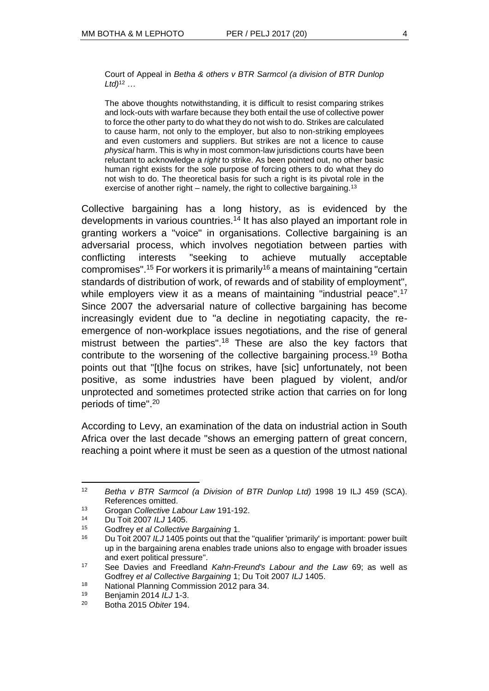Court of Appeal in *Betha & others v BTR Sarmcol (a division of BTR Dunlop Ltd)*<sup>12</sup> *…*

The above thoughts notwithstanding, it is difficult to resist comparing strikes and lock-outs with warfare because they both entail the use of collective power to force the other party to do what they do not wish to do. Strikes are calculated to cause harm, not only to the employer, but also to non-striking employees and even customers and suppliers. But strikes are not a licence to cause *physical* harm. This is why in most common-law jurisdictions courts have been reluctant to acknowledge a *right* to strike. As been pointed out, no other basic human right exists for the sole purpose of forcing others to do what they do not wish to do. The theoretical basis for such a right is its pivotal role in the exercise of another right – namely, the right to collective bargaining.<sup>13</sup>

Collective bargaining has a long history, as is evidenced by the developments in various countries.<sup>14</sup> It has also played an important role in granting workers a "voice" in organisations. Collective bargaining is an adversarial process, which involves negotiation between parties with conflicting interests "seeking to achieve mutually acceptable compromises".<sup>15</sup> For workers it is primarily<sup>16</sup> a means of maintaining "certain standards of distribution of work, of rewards and of stability of employment", while employers view it as a means of maintaining "industrial peace".<sup>17</sup> Since 2007 the adversarial nature of collective bargaining has become increasingly evident due to "a decline in negotiating capacity, the reemergence of non-workplace issues negotiations, and the rise of general mistrust between the parties".<sup>18</sup> These are also the key factors that contribute to the worsening of the collective bargaining process.<sup>19</sup> Botha points out that "[t]he focus on strikes, have [sic] unfortunately, not been positive, as some industries have been plagued by violent, and/or unprotected and sometimes protected strike action that carries on for long periods of time".<sup>20</sup>

According to Levy, an examination of the data on industrial action in South Africa over the last decade "shows an emerging pattern of great concern, reaching a point where it must be seen as a question of the utmost national

l <sup>12</sup> *Betha v BTR Sarmcol (a Division of BTR Dunlop Ltd)* 1998 19 ILJ 459 (SCA). References omitted.

<sup>13</sup> Grogan *Collective Labour Law* 191-192.

<sup>14</sup> Du Toit 2007 *ILJ* 1405.

<sup>15</sup> Godfrey *et al Collective Bargaining* 1.

<sup>16</sup> Du Toit 2007 *ILJ* 1405 points out that the "qualifier 'primarily' is important: power built up in the bargaining arena enables trade unions also to engage with broader issues and exert political pressure".

<sup>17</sup> See Davies and Freedland *Kahn-Freund's Labour and the Law* 69; as well as Godfrey *et al Collective Bargaining* 1; Du Toit 2007 *ILJ* 1405.

<sup>18</sup> National Planning Commission 2012 para 34.

<sup>19</sup> Benjamin 2014 *ILJ* 1-3.

<sup>20</sup> Botha 2015 *Obiter* 194.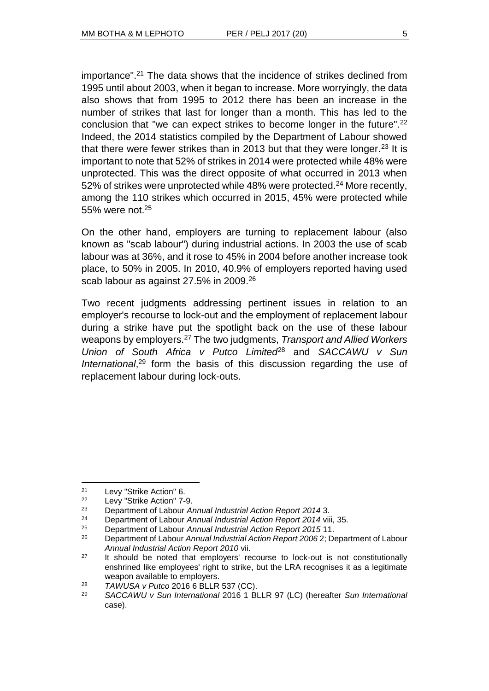importance".<sup>21</sup> The data shows that the incidence of strikes declined from 1995 until about 2003, when it began to increase. More worryingly, the data also shows that from 1995 to 2012 there has been an increase in the number of strikes that last for longer than a month. This has led to the conclusion that "we can expect strikes to become longer in the future".<sup>22</sup> Indeed, the 2014 statistics compiled by the Department of Labour showed that there were fewer strikes than in 2013 but that they were longer.<sup>23</sup> It is important to note that 52% of strikes in 2014 were protected while 48% were unprotected. This was the direct opposite of what occurred in 2013 when 52% of strikes were unprotected while 48% were protected.<sup>24</sup> More recently, among the 110 strikes which occurred in 2015, 45% were protected while 55% were not.<sup>25</sup>

On the other hand, employers are turning to replacement labour (also known as "scab labour") during industrial actions. In 2003 the use of scab labour was at 36%, and it rose to 45% in 2004 before another increase took place, to 50% in 2005. In 2010, 40.9% of employers reported having used scab labour as against 27.5% in 2009.<sup>26</sup>

Two recent judgments addressing pertinent issues in relation to an employer's recourse to lock-out and the employment of replacement labour during a strike have put the spotlight back on the use of these labour weapons by employers.<sup>27</sup> The two judgments, *Transport and Allied Workers Union of South Africa v Putco Limited*<sup>28</sup> and *SACCAWU v Sun*  International,<sup>29</sup> form the basis of this discussion regarding the use of replacement labour during lock-outs.

<sup>&</sup>lt;sup>21</sup> Levy "Strike Action" 6.<br><sup>22</sup> Levy "Strike Action" 7-

<sup>&</sup>lt;sup>22</sup> Levy "Strike Action" 7-9.<br><sup>23</sup> Department of Labour 4

<sup>23</sup> Department of Labour *Annual Industrial Action Report 2014* 3.

<sup>24</sup> Department of Labour *Annual Industrial Action Report 2014* viii, 35.

<sup>25</sup> Department of Labour *Annual Industrial Action Report 2015* 11.

<sup>26</sup> Department of Labour *Annual Industrial Action Report 2006* 2; Department of Labour *Annual Industrial Action Report 2010* vii.

 $27$  It should be noted that employers' recourse to lock-out is not constitutionally enshrined like employees' right to strike, but the LRA recognises it as a legitimate weapon available to employers.

<sup>28</sup> *TAWUSA v Putco* 2016 6 BLLR 537 (CC).

<sup>29</sup> *SACCAWU v Sun International* 2016 1 BLLR 97 (LC) (hereafter *Sun International*  case).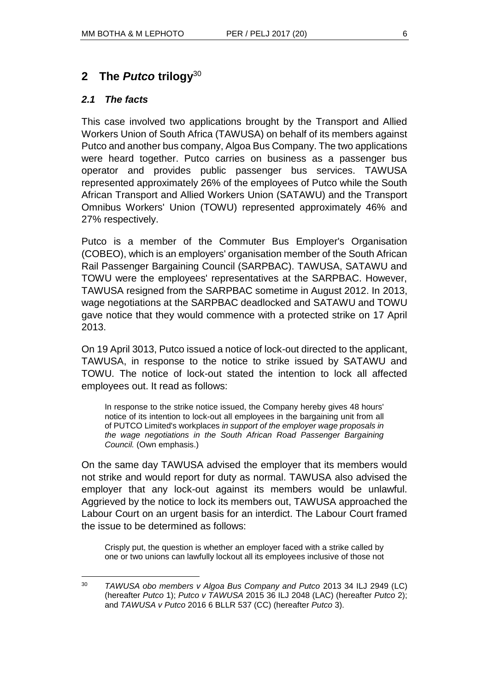**2 The** *Putco* **trilogy**<sup>30</sup>

# *2.1 The facts*

This case involved two applications brought by the Transport and Allied Workers Union of South Africa (TAWUSA) on behalf of its members against Putco and another bus company, Algoa Bus Company. The two applications were heard together. Putco carries on business as a passenger bus operator and provides public passenger bus services. TAWUSA represented approximately 26% of the employees of Putco while the South African Transport and Allied Workers Union (SATAWU) and the Transport Omnibus Workers' Union (TOWU) represented approximately 46% and 27% respectively.

Putco is a member of the Commuter Bus Employer's Organisation (COBEO), which is an employers' organisation member of the South African Rail Passenger Bargaining Council (SARPBAC). TAWUSA, SATAWU and TOWU were the employees' representatives at the SARPBAC. However, TAWUSA resigned from the SARPBAC sometime in August 2012. In 2013, wage negotiations at the SARPBAC deadlocked and SATAWU and TOWU gave notice that they would commence with a protected strike on 17 April 2013.

On 19 April 3013, Putco issued a notice of lock-out directed to the applicant, TAWUSA, in response to the notice to strike issued by SATAWU and TOWU. The notice of lock-out stated the intention to lock all affected employees out. It read as follows:

In response to the strike notice issued, the Company hereby gives 48 hours' notice of its intention to lock-out all employees in the bargaining unit from all of PUTCO Limited's workplaces *in support of the employer wage proposals in the wage negotiations in the South African Road Passenger Bargaining Council.* (Own emphasis.)

On the same day TAWUSA advised the employer that its members would not strike and would report for duty as normal. TAWUSA also advised the employer that any lock-out against its members would be unlawful. Aggrieved by the notice to lock its members out, TAWUSA approached the Labour Court on an urgent basis for an interdict. The Labour Court framed the issue to be determined as follows:

Crisply put, the question is whether an employer faced with a strike called by one or two unions can lawfully lockout all its employees inclusive of those not

 $\overline{a}$ <sup>30</sup> *TAWUSA obo members v Algoa Bus Company and Putco* 2013 34 ILJ 2949 (LC) (hereafter *Putco* 1); *Putco v TAWUSA* 2015 36 ILJ 2048 (LAC) (hereafter *Putco* 2); and *TAWUSA v Putco* 2016 6 BLLR 537 (CC) (hereafter *Putco* 3).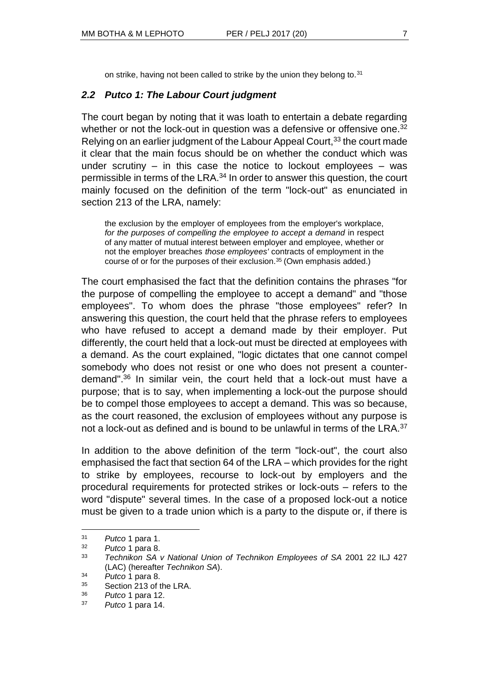on strike, having not been called to strike by the union they belong to.<sup>31</sup>

### *2.2 Putco 1: The Labour Court judgment*

The court began by noting that it was loath to entertain a debate regarding whether or not the lock-out in question was a defensive or offensive one.<sup>32</sup> Relying on an earlier judgment of the Labour Appeal Court, <sup>33</sup> the court made it clear that the main focus should be on whether the conduct which was under scrutiny  $-$  in this case the notice to lockout employees  $-$  was permissible in terms of the LRA.<sup>34</sup> In order to answer this question, the court mainly focused on the definition of the term "lock-out" as enunciated in section 213 of the LRA, namely:

the exclusion by the employer of employees from the employer's workplace, *for the purposes of compelling the employee to accept a demand* in respect of any matter of mutual interest between employer and employee, whether or not the employer breaches *those employees'* contracts of employment in the course of or for the purposes of their exclusion.<sup>35</sup> (Own emphasis added.)

The court emphasised the fact that the definition contains the phrases "for the purpose of compelling the employee to accept a demand" and "those employees". To whom does the phrase "those employees" refer? In answering this question, the court held that the phrase refers to employees who have refused to accept a demand made by their employer. Put differently, the court held that a lock-out must be directed at employees with a demand. As the court explained, "logic dictates that one cannot compel somebody who does not resist or one who does not present a counterdemand".<sup>36</sup> In similar vein, the court held that a lock-out must have a purpose; that is to say, when implementing a lock-out the purpose should be to compel those employees to accept a demand. This was so because, as the court reasoned, the exclusion of employees without any purpose is not a lock-out as defined and is bound to be unlawful in terms of the LRA.<sup>37</sup>

In addition to the above definition of the term "lock-out", the court also emphasised the fact that section 64 of the LRA – which provides for the right to strike by employees, recourse to lock-out by employers and the procedural requirements for protected strikes or lock-outs – refers to the word "dispute" several times. In the case of a proposed lock-out a notice must be given to a trade union which is a party to the dispute or, if there is

<sup>31</sup> *Putco* 1 para 1.

<sup>32</sup> *Putco* 1 para 8.

<sup>33</sup> *Technikon SA v National Union of Technikon Employees of SA* 2001 22 ILJ 427 (LAC) (hereafter *Technikon SA*).

<sup>34</sup> *Putco* 1 para 8.

<sup>35</sup> Section 213 of the LRA.

<sup>36</sup> *Putco* 1 para 12.

<sup>37</sup> *Putco* 1 para 14.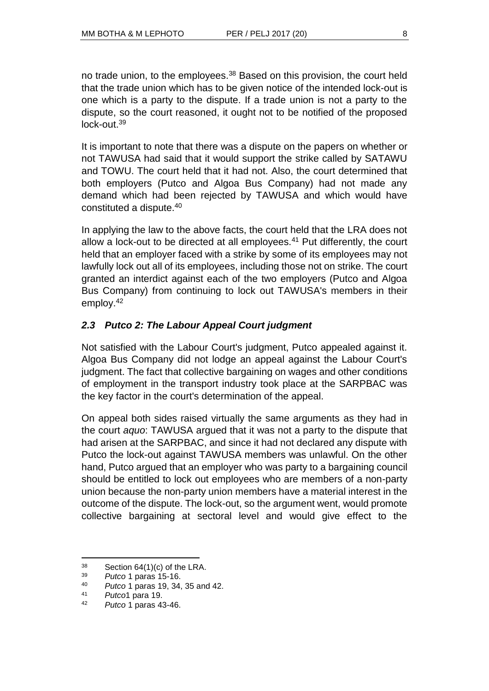no trade union, to the employees.<sup>38</sup> Based on this provision, the court held that the trade union which has to be given notice of the intended lock-out is one which is a party to the dispute. If a trade union is not a party to the dispute, so the court reasoned, it ought not to be notified of the proposed  $lock$ -out. $39$ 

It is important to note that there was a dispute on the papers on whether or not TAWUSA had said that it would support the strike called by SATAWU and TOWU. The court held that it had not. Also, the court determined that both employers (Putco and Algoa Bus Company) had not made any demand which had been rejected by TAWUSA and which would have constituted a dispute.<sup>40</sup>

In applying the law to the above facts, the court held that the LRA does not allow a lock-out to be directed at all employees. $41$  Put differently, the court held that an employer faced with a strike by some of its employees may not lawfully lock out all of its employees, including those not on strike. The court granted an interdict against each of the two employers (Putco and Algoa Bus Company) from continuing to lock out TAWUSA's members in their employ.<sup>42</sup>

# *2.3 Putco 2: The Labour Appeal Court judgment*

Not satisfied with the Labour Court's judgment, Putco appealed against it. Algoa Bus Company did not lodge an appeal against the Labour Court's judgment. The fact that collective bargaining on wages and other conditions of employment in the transport industry took place at the SARPBAC was the key factor in the court's determination of the appeal.

On appeal both sides raised virtually the same arguments as they had in the court *aquo*: TAWUSA argued that it was not a party to the dispute that had arisen at the SARPBAC, and since it had not declared any dispute with Putco the lock-out against TAWUSA members was unlawful. On the other hand, Putco argued that an employer who was party to a bargaining council should be entitled to lock out employees who are members of a non-party union because the non-party union members have a material interest in the outcome of the dispute. The lock-out, so the argument went, would promote collective bargaining at sectoral level and would give effect to the

 $38$  Section 64(1)(c) of the LRA.

<sup>39</sup> *Putco* 1 paras 15-16.

<sup>40</sup> *Putco* 1 paras 19, 34, 35 and 42.

<sup>41</sup> *Putco*1 para 19.

<sup>42</sup> *Putco* 1 paras 43-46.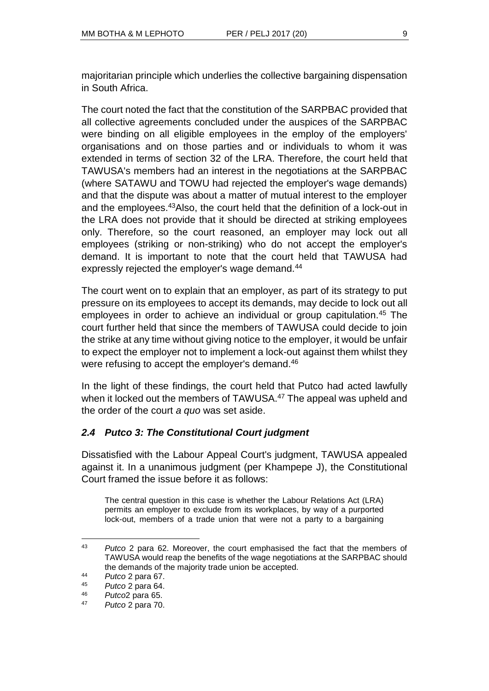majoritarian principle which underlies the collective bargaining dispensation in South Africa.

The court noted the fact that the constitution of the SARPBAC provided that all collective agreements concluded under the auspices of the SARPBAC were binding on all eligible employees in the employ of the employers' organisations and on those parties and or individuals to whom it was extended in terms of section 32 of the LRA. Therefore, the court held that TAWUSA's members had an interest in the negotiations at the SARPBAC (where SATAWU and TOWU had rejected the employer's wage demands) and that the dispute was about a matter of mutual interest to the employer and the employees.<sup>43</sup>Also, the court held that the definition of a lock-out in the LRA does not provide that it should be directed at striking employees only. Therefore, so the court reasoned, an employer may lock out all employees (striking or non-striking) who do not accept the employer's demand. It is important to note that the court held that TAWUSA had expressly rejected the employer's wage demand.<sup>44</sup>

The court went on to explain that an employer, as part of its strategy to put pressure on its employees to accept its demands, may decide to lock out all employees in order to achieve an individual or group capitulation.<sup>45</sup> The court further held that since the members of TAWUSA could decide to join the strike at any time without giving notice to the employer, it would be unfair to expect the employer not to implement a lock-out against them whilst they were refusing to accept the employer's demand.<sup>46</sup>

In the light of these findings, the court held that Putco had acted lawfully when it locked out the members of TAWUSA.<sup>47</sup> The appeal was upheld and the order of the court *a quo* was set aside.

# *2.4 Putco 3: The Constitutional Court judgment*

Dissatisfied with the Labour Appeal Court's judgment, TAWUSA appealed against it. In a unanimous judgment (per Khampepe J), the Constitutional Court framed the issue before it as follows:

The central question in this case is whether the Labour Relations Act (LRA) permits an employer to exclude from its workplaces, by way of a purported lock-out, members of a trade union that were not a party to a bargaining

l <sup>43</sup> *Putco* 2 para 62. Moreover, the court emphasised the fact that the members of TAWUSA would reap the benefits of the wage negotiations at the SARPBAC should the demands of the majority trade union be accepted.

<sup>44</sup> *Putco* 2 para 67.

<sup>45</sup> *Putco* 2 para 64.

<sup>46</sup> *Putco*2 para 65.

<sup>47</sup> *Putco* 2 para 70.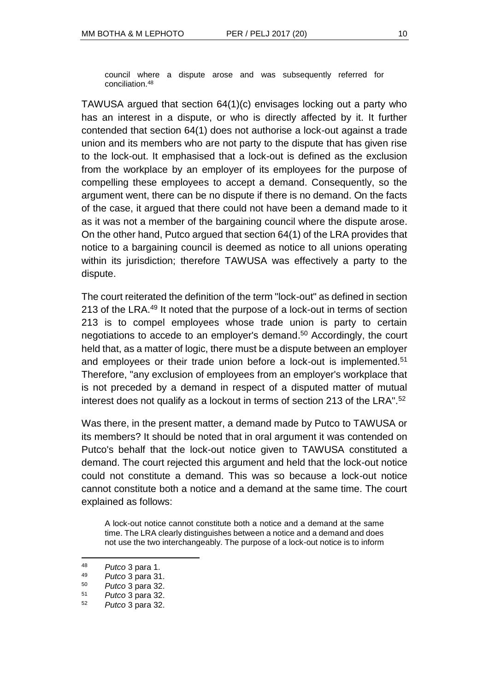council where a dispute arose and was subsequently referred for conciliation.<sup>48</sup>

TAWUSA argued that section 64(1)(c) envisages locking out a party who has an interest in a dispute, or who is directly affected by it. It further contended that section 64(1) does not authorise a lock-out against a trade union and its members who are not party to the dispute that has given rise to the lock-out. It emphasised that a lock-out is defined as the exclusion from the workplace by an employer of its employees for the purpose of compelling these employees to accept a demand. Consequently, so the argument went, there can be no dispute if there is no demand. On the facts of the case, it argued that there could not have been a demand made to it as it was not a member of the bargaining council where the dispute arose. On the other hand, Putco argued that section 64(1) of the LRA provides that notice to a bargaining council is deemed as notice to all unions operating within its jurisdiction; therefore TAWUSA was effectively a party to the dispute.

The court reiterated the definition of the term "lock-out" as defined in section 213 of the LRA.<sup>49</sup> It noted that the purpose of a lock-out in terms of section 213 is to compel employees whose trade union is party to certain negotiations to accede to an employer's demand. <sup>50</sup> Accordingly, the court held that, as a matter of logic, there must be a dispute between an employer and employees or their trade union before a lock-out is implemented.<sup>51</sup> Therefore, "any exclusion of employees from an employer's workplace that is not preceded by a demand in respect of a disputed matter of mutual interest does not qualify as a lockout in terms of section 213 of the LRA".<sup>52</sup>

Was there, in the present matter, a demand made by Putco to TAWUSA or its members? It should be noted that in oral argument it was contended on Putco's behalf that the lock-out notice given to TAWUSA constituted a demand. The court rejected this argument and held that the lock-out notice could not constitute a demand. This was so because a lock-out notice cannot constitute both a notice and a demand at the same time. The court explained as follows:

A lock-out notice cannot constitute both a notice and a demand at the same time. The LRA clearly distinguishes between a notice and a demand and does not use the two interchangeably. The purpose of a lock-out notice is to inform

<sup>48</sup> *Putco* 3 para 1.

<sup>49</sup> *Putco* 3 para 31.

<sup>50</sup> *Putco* 3 para 32.

<sup>51</sup> *Putco* 3 para 32.

<sup>52</sup> *Putco* 3 para 32.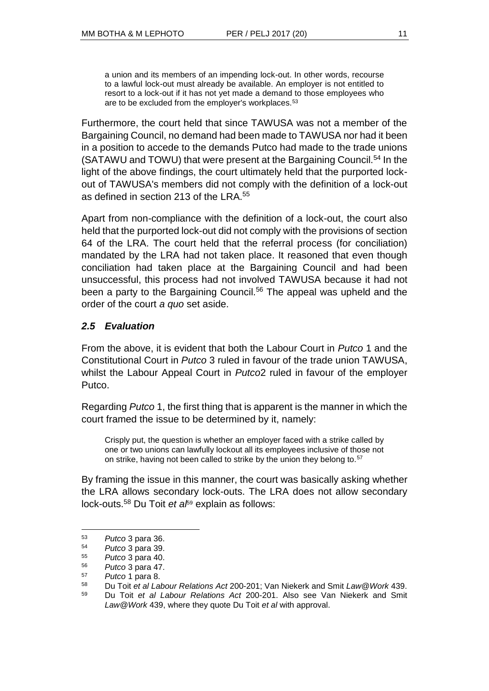a union and its members of an impending lock-out. In other words, recourse to a lawful lock-out must already be available. An employer is not entitled to resort to a lock-out if it has not yet made a demand to those employees who are to be excluded from the employer's workplaces.<sup>53</sup>

Furthermore, the court held that since TAWUSA was not a member of the Bargaining Council, no demand had been made to TAWUSA nor had it been in a position to accede to the demands Putco had made to the trade unions (SATAWU and TOWU) that were present at the Bargaining Council.<sup>54</sup> In the light of the above findings, the court ultimately held that the purported lockout of TAWUSA's members did not comply with the definition of a lock-out as defined in section 213 of the LRA.<sup>55</sup>

Apart from non-compliance with the definition of a lock-out, the court also held that the purported lock-out did not comply with the provisions of section 64 of the LRA. The court held that the referral process (for conciliation) mandated by the LRA had not taken place. It reasoned that even though conciliation had taken place at the Bargaining Council and had been unsuccessful, this process had not involved TAWUSA because it had not been a party to the Bargaining Council.<sup>56</sup> The appeal was upheld and the order of the court *a quo* set aside.

# *2.5 Evaluation*

From the above, it is evident that both the Labour Court in *Putco* 1 and the Constitutional Court in *Putco* 3 ruled in favour of the trade union TAWUSA, whilst the Labour Appeal Court in *Putco*2 ruled in favour of the employer Putco.

Regarding *Putco* 1, the first thing that is apparent is the manner in which the court framed the issue to be determined by it, namely:

Crisply put, the question is whether an employer faced with a strike called by one or two unions can lawfully lockout all its employees inclusive of those not on strike, having not been called to strike by the union they belong to.<sup>57</sup>

By framing the issue in this manner, the court was basically asking whether the LRA allows secondary lock-outs. The LRA does not allow secondary lock-outs.<sup>58</sup> Du Toit *et al*<sup>59</sup> explain as follows:

<sup>53</sup> *Putco* 3 para 36.

<sup>54</sup> *Putco* 3 para 39.

<sup>55</sup> *Putco* 3 para 40.

<sup>56</sup> *Putco* 3 para 47.

 $^{57}$  *Putco* 1 para 8.<br> $^{58}$  *Du Toit of all of* 

<sup>58</sup> Du Toit *et al Labour Relations Act* 200-201; Van Niekerk and Smit *Law@Work* 439.

<sup>59</sup> Du Toit *et al Labour Relations Act* 200-201. Also see Van Niekerk and Smit *Law@Work* 439, where they quote Du Toit *et al* with approval.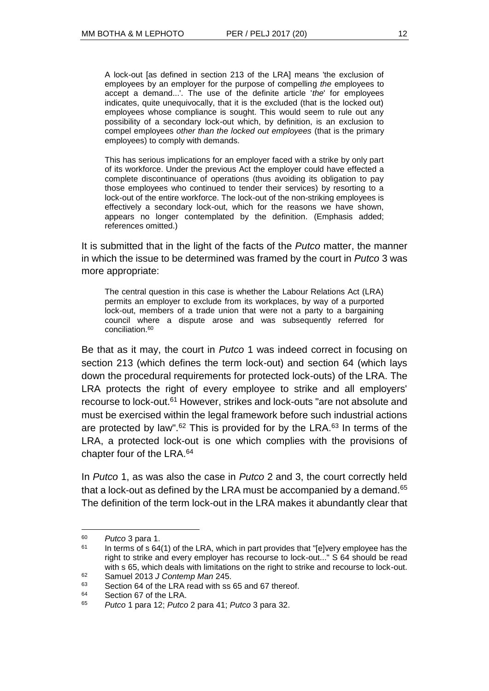A lock-out [as defined in section 213 of the LRA] means 'the exclusion of employees by an employer for the purpose of compelling *the* employees to accept a demand...'. The use of the definite article '*the*' for employees indicates, quite unequivocally, that it is the excluded (that is the locked out) employees whose compliance is sought. This would seem to rule out any possibility of a secondary lock-out which, by definition, is an exclusion to compel employees *other than the locked out employees* (that is the primary employees) to comply with demands.

This has serious implications for an employer faced with a strike by only part of its workforce. Under the previous Act the employer could have effected a complete discontinuance of operations (thus avoiding its obligation to pay those employees who continued to tender their services) by resorting to a lock-out of the entire workforce. The lock-out of the non-striking employees is effectively a secondary lock-out, which for the reasons we have shown, appears no longer contemplated by the definition. (Emphasis added; references omitted.)

It is submitted that in the light of the facts of the *Putco* matter, the manner in which the issue to be determined was framed by the court in *Putco* 3 was more appropriate:

The central question in this case is whether the Labour Relations Act (LRA) permits an employer to exclude from its workplaces, by way of a purported lock-out, members of a trade union that were not a party to a bargaining council where a dispute arose and was subsequently referred for conciliation.<sup>60</sup>

Be that as it may, the court in *Putco* 1 was indeed correct in focusing on section 213 (which defines the term lock-out) and section 64 (which lays down the procedural requirements for protected lock-outs) of the LRA. The LRA protects the right of every employee to strike and all employers' recourse to lock-out.<sup>61</sup> However, strikes and lock-outs "are not absolute and must be exercised within the legal framework before such industrial actions are protected by law". $62$  This is provided for by the LRA. $63$  In terms of the LRA, a protected lock-out is one which complies with the provisions of chapter four of the LRA.<sup>64</sup>

In *Putco* 1, as was also the case in *Putco* 2 and 3, the court correctly held that a lock-out as defined by the LRA must be accompanied by a demand.  $65$ The definition of the term lock-out in the LRA makes it abundantly clear that

<sup>60</sup> *Putco* 3 para 1.

 $61$  In terms of s 64(1) of the LRA, which in part provides that "[e]very employee has the right to strike and every employer has recourse to lock-out..." S 64 should be read with s 65, which deals with limitations on the right to strike and recourse to lock-out.

<sup>62</sup> Samuel 2013 *J Contemp Man* 245.

<sup>63</sup> Section 64 of the LRA read with ss 65 and 67 thereof.

<sup>64</sup> Section 67 of the LRA.

<sup>65</sup> *Putco* 1 para 12; *Putco* 2 para 41; *Putco* 3 para 32.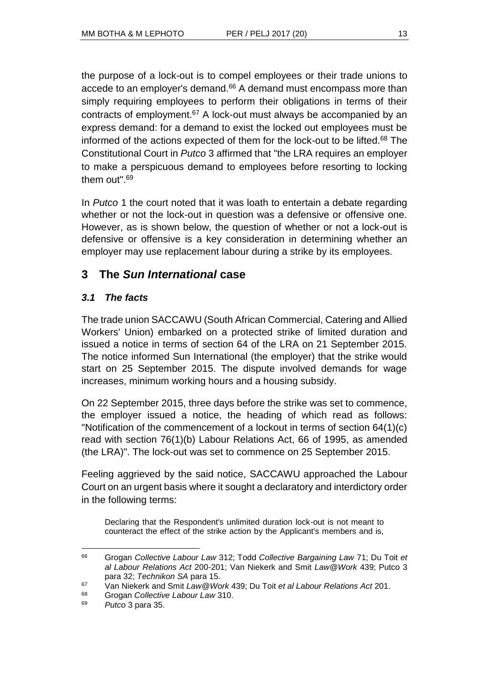the purpose of a lock-out is to compel employees or their trade unions to accede to an employer's demand.<sup>66</sup> A demand must encompass more than simply requiring employees to perform their obligations in terms of their contracts of employment.<sup>67</sup> A lock-out must always be accompanied by an express demand: for a demand to exist the locked out employees must be informed of the actions expected of them for the lock-out to be lifted. $68$  The Constitutional Court in *Putco* 3 affirmed that "the LRA requires an employer to make a perspicuous demand to employees before resorting to locking them out".<sup>69</sup>

In *Putco* 1 the court noted that it was loath to entertain a debate regarding whether or not the lock-out in question was a defensive or offensive one. However, as is shown below, the question of whether or not a lock-out is defensive or offensive is a key consideration in determining whether an employer may use replacement labour during a strike by its employees.

# **3 The** *Sun International* **case**

# *3.1 The facts*

The trade union SACCAWU (South African Commercial, Catering and Allied Workers' Union) embarked on a protected strike of limited duration and issued a notice in terms of section 64 of the LRA on 21 September 2015. The notice informed Sun International (the employer) that the strike would start on 25 September 2015. The dispute involved demands for wage increases, minimum working hours and a housing subsidy.

On 22 September 2015, three days before the strike was set to commence, the employer issued a notice, the heading of which read as follows: "Notification of the commencement of a lockout in terms of section 64(1)(c) read with section 76(1)(b) [Labour Relations Act, 66 of 1995,](http://www.saflii.org/za/legis/consol_act/lra1995188/) as amended (the LRA)". The lock-out was set to commence on 25 September 2015.

Feeling aggrieved by the said notice, SACCAWU approached the Labour Court on an urgent basis where it sought a declaratory and interdictory order in the following terms:

Declaring that the Respondent's unlimited duration lock-out is not meant to counteract the effect of the strike action by the Applicant's members and is,

<sup>66</sup> Grogan *Collective Labour Law* 312; Todd *Collective Bargaining Law* 71; Du Toit *et al Labour Relations Act* 200-201; Van Niekerk and Smit *Law@Work* 439; Putco 3 para 32; *Technikon SA* para 15.

<sup>67</sup> Van Niekerk and Smit *Law@Work* 439; Du Toit *et al Labour Relations Act* 201.

<sup>68</sup> Grogan *Collective Labour Law* 310.

<sup>69</sup> *Putco* 3 para 35.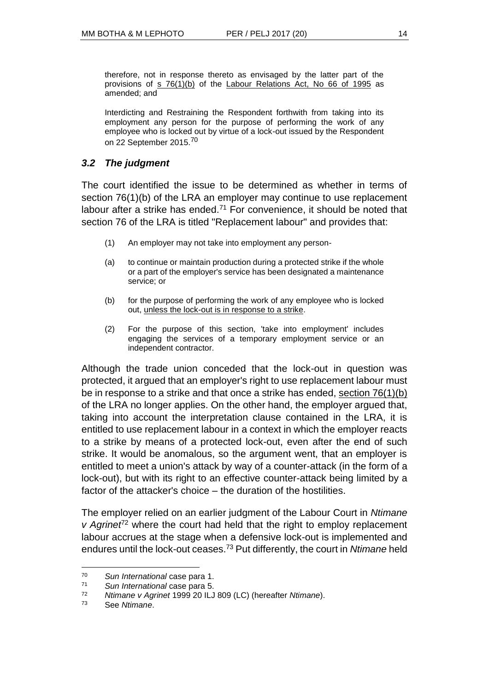therefore, not in response thereto as envisaged by the latter part of the provisions of  $s$  76(1)(b) of the [Labour Relations Act, No 66 of 1995](http://www.saflii.org/za/legis/consol_act/lra1995188/) as amended; and

Interdicting and Restraining the Respondent forthwith from taking into its employment any person for the purpose of performing the work of any employee who is locked out by virtue of a lock-out issued by the Respondent on 22 September 2015.<sup>70</sup>

# *3.2 The judgment*

The court identified the issue to be determined as whether in terms of section 76(1)(b) of the LRA an employer may continue to use replacement labour after a strike has ended.<sup>71</sup> For convenience, it should be noted that section 76 of the LRA is titled "Replacement labour" and provides that:

- (1) An employer may not take into employment any person-
- (a) to continue or maintain production during a protected strike if the whole or a part of the employer's service has been designated a maintenance service; or
- (b) for the purpose of performing the work of any employee who is locked out, unless the lock-out is in response to a strike.
- (2) For the purpose of this section, 'take into employment' includes engaging the services of a temporary employment service or an independent contractor.

Although the trade union conceded that the lock-out in question was protected, it argued that an employer's right to use replacement labour must be in response to a strike and that once a strike has ended, [section 76\(1\)\(b\)](http://www.saflii.org/za/legis/consol_act/lra1995188/index.html#s76) of the LRA no longer applies. On the other hand, the employer argued that, taking into account the interpretation clause contained in the LRA, it is entitled to use replacement labour in a context in which the employer reacts to a strike by means of a protected lock-out, even after the end of such strike. It would be anomalous, so the argument went, that an employer is entitled to meet a union's attack by way of a counter-attack (in the form of a lock-out), but with its right to an effective counter-attack being limited by a factor of the attacker's choice – the duration of the hostilities.

The employer relied on an earlier judgment of the Labour Court in *Ntimane v* Agrinet<sup>72</sup> where the court had held that the right to employ replacement labour accrues at the stage when a defensive lock-out is implemented and endures until the lock-out ceases.<sup>73</sup> Put differently, the court in *Ntimane* held

<sup>70</sup> *Sun International* case para 1.

<sup>71</sup> *Sun International* case para 5.

<sup>72</sup> *Ntimane v Agrinet* 1999 20 ILJ 809 (LC) (hereafter *Ntimane*).

<sup>73</sup> See *Ntimane*.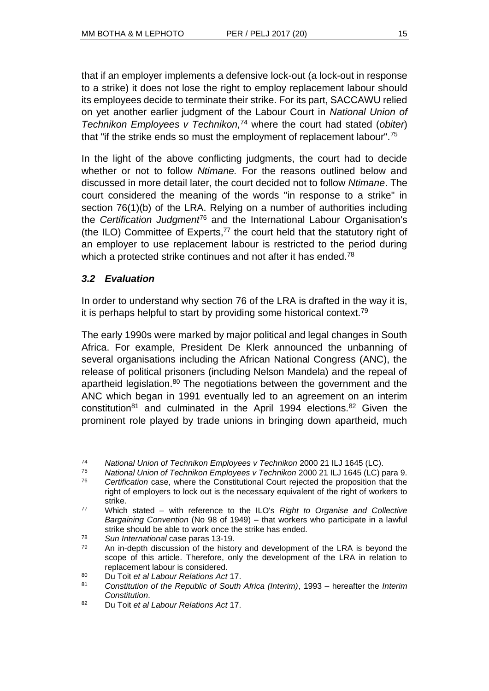that if an employer implements a defensive lock-out (a lock-out in response to a strike) it does not lose the right to employ replacement labour should its employees decide to terminate their strike. For its part, SACCAWU relied on yet another earlier judgment of the Labour Court in *National Union of Technikon Employees v Technikon,* <sup>74</sup> where the court had stated (*obiter*) that "if the strike ends so must the employment of replacement labour".<sup>75</sup>

In the light of the above conflicting judgments, the court had to decide whether or not to follow *Ntimane.* For the reasons outlined below and discussed in more detail later, the court decided not to follow *Ntimane*. The court considered the meaning of the words "in response to a strike" in section 76(1)(b) of the LRA. Relying on a number of authorities including the *Certification Judgment*<sup>76</sup> and the International Labour Organisation's (the ILO) Committee of Experts, $77$  the court held that the statutory right of an employer to use replacement labour is restricted to the period during which a protected strike continues and not after it has ended.<sup>78</sup>

# *3.2 Evaluation*

l

In order to understand why section 76 of the LRA is drafted in the way it is, it is perhaps helpful to start by providing some historical context.<sup>79</sup>

The early 1990s were marked by major political and legal changes in South Africa. For example, President De Klerk announced the unbanning of several organisations including the African National Congress (ANC), the release of political prisoners (including Nelson Mandela) and the repeal of apartheid legislation.<sup>80</sup> The negotiations between the government and the ANC which began in 1991 eventually led to an agreement on an interim constitution<sup>81</sup> and culminated in the April 1994 elections.<sup>82</sup> Given the prominent role played by trade unions in bringing down apartheid, much

<sup>74</sup> *National Union of Technikon Employees v Technikon* 2000 21 ILJ 1645 (LC).

<sup>75</sup> *National Union of Technikon Employees v Technikon* 2000 21 ILJ 1645 (LC) para 9.

<sup>76</sup> *Certification* case, where the Constitutional Court rejected the proposition that the right of employers to lock out is the necessary equivalent of the right of workers to strike.

<sup>77</sup> Which stated – with reference to the ILO's *Right to Organise and Collective Bargaining Convention* (No 98 of 1949) – that workers who participate in a lawful strike should be able to work once the strike has ended.

<sup>78</sup> *Sun International* case paras 13-19.

 $79$  An in-depth discussion of the history and development of the LRA is beyond the scope of this article. Therefore, only the development of the LRA in relation to replacement labour is considered.

<sup>80</sup> Du Toit *et al Labour Relations Act* 17.

<sup>81</sup> *Constitution of the Republic of South Africa (Interim)*, 1993 – hereafter the *Interim Constitution*.

<sup>82</sup> Du Toit *et al Labour Relations Act* 17.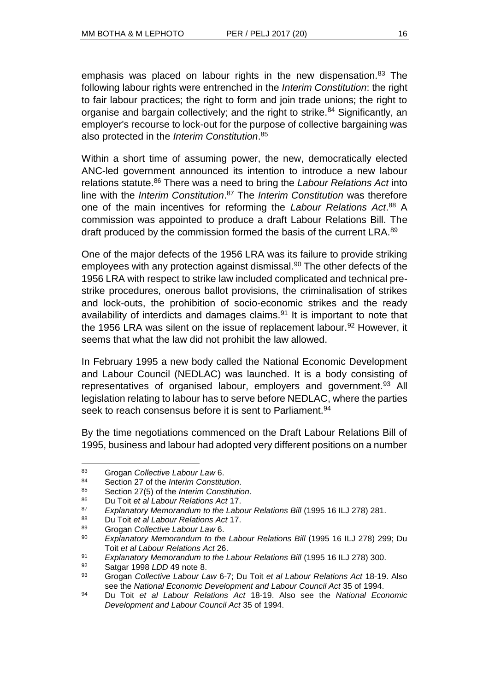emphasis was placed on labour rights in the new dispensation.<sup>83</sup> The following labour rights were entrenched in the *Interim Constitution*: the right to fair labour practices; the right to form and join trade unions; the right to organise and bargain collectively; and the right to strike.<sup>84</sup> Significantly, an employer's recourse to lock-out for the purpose of collective bargaining was also protected in the *Interim Constitution*. 85

Within a short time of assuming power, the new, democratically elected ANC-led government announced its intention to introduce a new labour relations statute.<sup>86</sup> There was a need to bring the *Labour Relations Act* into line with the *Interim Constitution*. <sup>87</sup> The *Interim Constitution* was therefore one of the main incentives for reforming the *Labour Relations Act*. <sup>88</sup> A commission was appointed to produce a draft Labour Relations Bill. The draft produced by the commission formed the basis of the current LRA.<sup>89</sup>

One of the major defects of the 1956 LRA was its failure to provide striking employees with any protection against dismissal.<sup>90</sup> The other defects of the 1956 LRA with respect to strike law included complicated and technical prestrike procedures, onerous ballot provisions, the criminalisation of strikes and lock-outs, the prohibition of socio-economic strikes and the ready availability of interdicts and damages claims. $91$  It is important to note that the 1956 LRA was silent on the issue of replacement labour.<sup>92</sup> However, it seems that what the law did not prohibit the law allowed.

In February 1995 a new body called the National Economic Development and Labour Council (NEDLAC) was launched. It is a body consisting of representatives of organised labour, employers and government.<sup>93</sup> All legislation relating to labour has to serve before NEDLAC, where the parties seek to reach consensus before it is sent to Parliament.<sup>94</sup>

By the time negotiations commenced on the Draft Labour Relations Bill of 1995, business and labour had adopted very different positions on a number

<sup>83</sup> Grogan *Collective Labour Law* 6.<br>84 Section 27 of the Interim Constitu

<sup>84</sup> Section 27 of the *Interim Constitution*.

<sup>85</sup> Section 27(5) of the *Interim Constitution*.

<sup>86</sup> Du Toit *et al Labour Relations Act* 17.

<sup>87</sup> *Explanatory Memorandum to the Labour Relations Bill* (1995 16 ILJ 278) 281.

<sup>88</sup> Du Toit *et al Labour Relations Act* 17.

<sup>89</sup> Grogan *Collective Labour Law* 6.

<sup>90</sup> *Explanatory Memorandum to the Labour Relations Bill* (1995 16 ILJ 278) 299; Du Toit *et al Labour Relations Act* 26.

<sup>91</sup> *Explanatory Memorandum to the Labour Relations Bill* (1995 16 ILJ 278) 300.

<sup>92</sup> Satgar 1998 *LDD* 49 note 8.

<sup>93</sup> Grogan *Collective Labour Law* 6-7; Du Toit *et al Labour Relations Act* 18-19. Also see the *National Economic Development and Labour Council Act* 35 of 1994.

<sup>94</sup> Du Toit *et al Labour Relations Act* 18-19. Also see the *National Economic Development and Labour Council Act* 35 of 1994.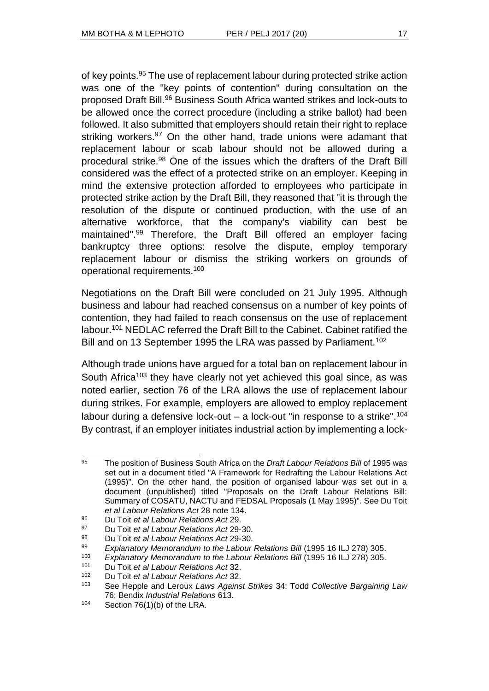of key points.<sup>95</sup> The use of replacement labour during protected strike action was one of the "key points of contention" during consultation on the proposed Draft Bill.<sup>96</sup> Business South Africa wanted strikes and lock-outs to be allowed once the correct procedure (including a strike ballot) had been followed. It also submitted that employers should retain their right to replace striking workers.<sup>97</sup> On the other hand, trade unions were adamant that replacement labour or scab labour should not be allowed during a procedural strike.<sup>98</sup> One of the issues which the drafters of the Draft Bill considered was the effect of a protected strike on an employer. Keeping in mind the extensive protection afforded to employees who participate in protected strike action by the Draft Bill, they reasoned that "it is through the resolution of the dispute or continued production, with the use of an alternative workforce, that the company's viability can best be maintained".<sup>99</sup> Therefore, the Draft Bill offered an employer facing bankruptcy three options: resolve the dispute, employ temporary replacement labour or dismiss the striking workers on grounds of operational requirements.<sup>100</sup>

Negotiations on the Draft Bill were concluded on 21 July 1995. Although business and labour had reached consensus on a number of key points of contention, they had failed to reach consensus on the use of replacement labour.<sup>101</sup> NEDLAC referred the Draft Bill to the Cabinet. Cabinet ratified the Bill and on 13 September 1995 the LRA was passed by Parliament.<sup>102</sup>

Although trade unions have argued for a total ban on replacement labour in South Africa<sup>103</sup> they have clearly not yet achieved this goal since, as was noted earlier, section 76 of the LRA allows the use of replacement labour during strikes. For example, employers are allowed to employ replacement labour during a defensive lock-out – a lock-out "in response to a strike".<sup>104</sup> By contrast, if an employer initiates industrial action by implementing a lock-

l <sup>95</sup> The position of Business South Africa on the *Draft Labour Relations Bill* of 1995 was set out in a document titled "A Framework for Redrafting the Labour Relations Act (1995)". On the other hand, the position of organised labour was set out in a document (unpublished) titled "Proposals on the Draft Labour Relations Bill: Summary of COSATU, NACTU and FEDSAL Proposals (1 May 1995)". See Du Toit *et al Labour Relations Act* 28 note 134.

<sup>96</sup> Du Toit *et al Labour Relations Act* 29.

<sup>97</sup> Du Toit *et al Labour Relations Act* 29-30.

<sup>98</sup> Du Toit *et al Labour Relations Act* 29-30.

<sup>99</sup> *Explanatory Memorandum to the Labour Relations Bill* (1995 16 ILJ 278) 305.

<sup>100</sup> *Explanatory Memorandum to the Labour Relations Bill* (1995 16 ILJ 278) 305.

<sup>101</sup> Du Toit *et al Labour Relations Act* 32.

<sup>102</sup> Du Toit *et al Labour Relations Act* 32.

<sup>103</sup> See Hepple and Leroux *Laws Against Strikes* 34; Todd *Collective Bargaining Law* 76; Bendix *Industrial Relations* 613.

<sup>104</sup> Section 76(1)(b) of the LRA.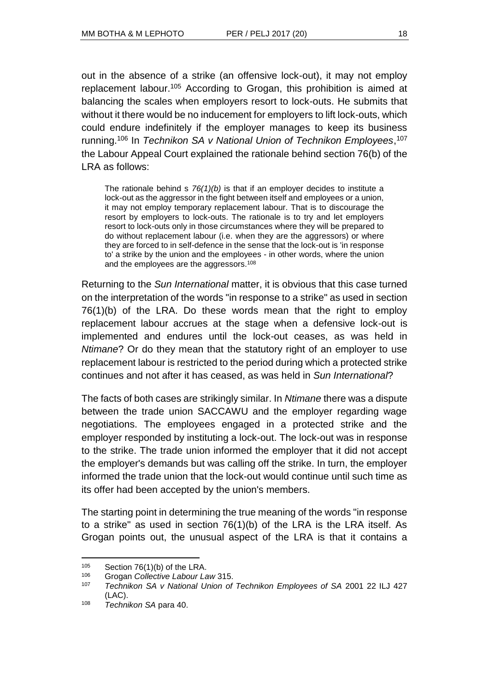out in the absence of a strike (an offensive lock-out), it may not employ replacement labour.<sup>105</sup> According to Grogan, this prohibition is aimed at balancing the scales when employers resort to lock-outs. He submits that without it there would be no inducement for employers to lift lock-outs, which could endure indefinitely if the employer manages to keep its business running.<sup>106</sup> In *Technikon SA v National Union of Technikon Employees*, 107 the Labour Appeal Court explained the rationale behind section 76(b) of the LRA as follows:

The rationale behind s  $76(1)$ (b) is that if an employer decides to institute a lock-out as the aggressor in the fight between itself and employees or a union, it may not employ temporary replacement labour. That is to discourage the resort by employers to lock-outs. The rationale is to try and let employers resort to lock-outs only in those circumstances where they will be prepared to do without replacement labour (i.e. when they are the aggressors) or where they are forced to in self-defence in the sense that the lock-out is 'in response to' a strike by the union and the employees - in other words, where the union and the employees are the aggressors.<sup>108</sup>

Returning to the *Sun International* matter, it is obvious that this case turned on the interpretation of the words "in response to a strike" as used in section 76(1)(b) of the LRA. Do these words mean that the right to employ replacement labour accrues at the stage when a defensive lock-out is implemented and endures until the lock-out ceases, as was held in *Ntimane*? Or do they mean that the statutory right of an employer to use replacement labour is restricted to the period during which a protected strike continues and not after it has ceased, as was held in *Sun International*?

The facts of both cases are strikingly similar. In *Ntimane* there was a dispute between the trade union SACCAWU and the employer regarding wage negotiations. The employees engaged in a protected strike and the employer responded by instituting a lock-out. The lock-out was in response to the strike. The trade union informed the employer that it did not accept the employer's demands but was calling off the strike. In turn, the employer informed the trade union that the lock-out would continue until such time as its offer had been accepted by the union's members.

The starting point in determining the true meaning of the words "in response to a strike" as used in section 76(1)(b) of the LRA is the LRA itself. As Grogan points out, the unusual aspect of the LRA is that it contains a

 $105$  Section 76(1)(b) of the LRA.

<sup>106</sup> Grogan *Collective Labour Law* 315.

<sup>107</sup> *Technikon SA v National Union of Technikon Employees of SA* 2001 22 ILJ 427 (LAC).

<sup>108</sup> *Technikon SA* para 40.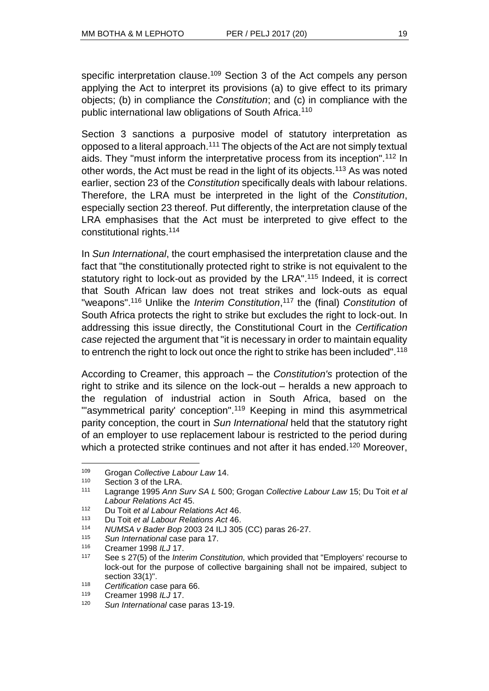specific interpretation clause.<sup>109</sup> Section 3 of the Act compels any person applying the Act to interpret its provisions (a) to give effect to its primary objects; (b) in compliance the *Constitution*; and (c) in compliance with the public international law obligations of South Africa.<sup>110</sup>

Section 3 sanctions a purposive model of statutory interpretation as opposed to a literal approach.<sup>111</sup> The objects of the Act are not simply textual aids. They "must inform the interpretative process from its inception".<sup>112</sup> In other words, the Act must be read in the light of its objects.<sup>113</sup> As was noted earlier, section 23 of the *Constitution* specifically deals with labour relations. Therefore, the LRA must be interpreted in the light of the *Constitution*, especially section 23 thereof. Put differently, the interpretation clause of the LRA emphasises that the Act must be interpreted to give effect to the constitutional rights.<sup>114</sup>

In *Sun International*, the court emphasised the interpretation clause and the fact that "the constitutionally protected right to strike is not equivalent to the statutory right to lock-out as provided by the LRA".<sup>115</sup> Indeed, it is correct that South African law does not treat strikes and lock-outs as equal "weapons".<sup>116</sup> Unlike the *Interim Constitution*, <sup>117</sup> the (final) *Constitution* of South Africa protects the right to strike but excludes the right to lock-out. In addressing this issue directly, the Constitutional Court in the *Certification case* rejected the argument that "it is necessary in order to maintain equality to entrench the right to lock out once the right to strike has been included".<sup>118</sup>

According to Creamer, this approach – the *Constitution's* protection of the right to strike and its silence on the lock-out – heralds a new approach to the regulation of industrial action in South Africa, based on the "'asymmetrical parity' conception".<sup>119</sup> Keeping in mind this asymmetrical parity conception, the court in *Sun International* held that the statutory right of an employer to use replacement labour is restricted to the period during which a protected strike continues and not after it has ended.<sup>120</sup> Moreover,

<sup>109</sup> Grogan *Collective Labour Law* 14.

 $110$  Section 3 of the LRA.<br> $111$  Lagrange 1995 App.

<sup>111</sup> Lagrange 1995 *Ann Surv SA L* 500; Grogan *Collective Labour Law* 15; Du Toit *et al Labour Relations Act* 45.

<sup>112</sup> Du Toit *et al Labour Relations Act* 46.

<sup>113</sup> Du Toit *et al Labour Relations Act* 46.

<sup>114</sup> *NUMSA v Bader Bop* 2003 24 ILJ 305 (CC) paras 26-27.

<sup>115</sup> *Sun International* case para 17.

<sup>116</sup> Creamer 1998 *ILJ* 17.

<sup>117</sup> See s 27(5) of the *Interim Constitution,* which provided that "Employers' recourse to lock-out for the purpose of collective bargaining shall not be impaired, subject to section 33(1)".

<sup>118</sup> *Certification* case para 66.

<sup>119</sup> Creamer 1998 *ILJ* 17.

<sup>120</sup> *Sun International* case paras 13-19.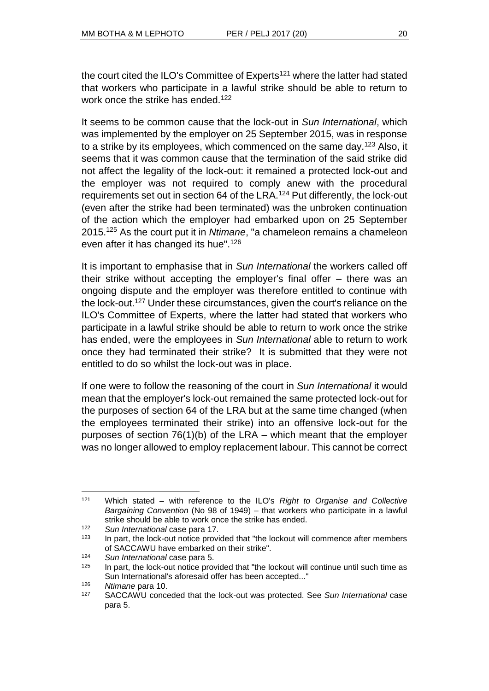the court cited the ILO's Committee of Experts<sup>121</sup> where the latter had stated that workers who participate in a lawful strike should be able to return to work once the strike has ended.<sup>122</sup>

It seems to be common cause that the lock-out in *Sun International*, which was implemented by the employer on 25 September 2015, was in response to a strike by its employees, which commenced on the same day.<sup>123</sup> Also, it seems that it was common cause that the termination of the said strike did not affect the legality of the lock-out: it remained a protected lock-out and the employer was not required to comply anew with the procedural requirements set out in section 64 of the LRA.<sup>124</sup> Put differently, the lock-out (even after the strike had been terminated) was the unbroken continuation of the action which the employer had embarked upon on 25 September 2015.<sup>125</sup> As the court put it in *Ntimane*, "a chameleon remains a chameleon even after it has changed its hue".<sup>126</sup>

It is important to emphasise that in *Sun International* the workers called off their strike without accepting the employer's final offer – there was an ongoing dispute and the employer was therefore entitled to continue with the lock-out.<sup>127</sup> Under these circumstances, given the court's reliance on the ILO's Committee of Experts, where the latter had stated that workers who participate in a lawful strike should be able to return to work once the strike has ended, were the employees in *Sun International* able to return to work once they had terminated their strike? It is submitted that they were not entitled to do so whilst the lock-out was in place.

If one were to follow the reasoning of the court in *Sun International* it would mean that the employer's lock-out remained the same protected lock-out for the purposes of section 64 of the LRA but at the same time changed (when the employees terminated their strike) into an offensive lock-out for the purposes of section 76(1)(b) of the LRA – which meant that the employer was no longer allowed to employ replacement labour. This cannot be correct

 $\overline{a}$ <sup>121</sup> Which stated – with reference to the ILO's *Right to Organise and Collective Bargaining Convention* (No 98 of 1949) – that workers who participate in a lawful strike should be able to work once the strike has ended.

<sup>122</sup> *Sun International* case para 17.

In part, the lock-out notice provided that "the lockout will commence after members of SACCAWU have embarked on their strike".

<sup>124</sup> *Sun International* case para 5.

 $125$  In part, the lock-out notice provided that "the lockout will continue until such time as Sun International's aforesaid offer has been accepted..."

<sup>126</sup> *Ntimane* para 10.

<sup>127</sup> SACCAWU conceded that the lock-out was protected. See *Sun International* case para 5.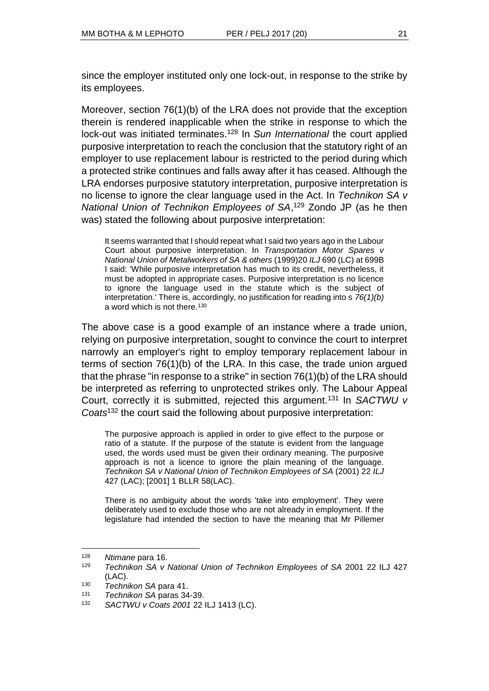since the employer instituted only one lock-out, in response to the strike by its employees.

Moreover, section 76(1)(b) of the LRA does not provide that the exception therein is rendered inapplicable when the strike in response to which the lock-out was initiated terminates.<sup>128</sup> In *Sun International* the court applied purposive interpretation to reach the conclusion that the statutory right of an employer to use replacement labour is restricted to the period during which a protected strike continues and falls away after it has ceased. Although the LRA endorses purposive statutory interpretation, purposive interpretation is no license to ignore the clear language used in the Act. In *Technikon SA v National Union of Technikon Employees of SA*, <sup>129</sup> Zondo JP (as he then was) stated the following about purposive interpretation:

It seems warranted that I should repeat what I said two years ago in the Labour Court about purposive interpretation. In *Transportation Motor Spares v National Union of Metalworkers of SA & others* (1999)20 *ILJ* 690 (LC) at 699B I said: 'While purposive interpretation has much to its credit, nevertheless, it must be adopted in appropriate cases. Purposive interpretation is no licence to ignore the language used in the statute which is the subject of interpretation.' There is, accordingly, no justification for reading into s *76(1)(b)*  a word which is not there.<sup>130</sup>

The above case is a good example of an instance where a trade union, relying on purposive interpretation, sought to convince the court to interpret narrowly an employer's right to employ temporary replacement labour in terms of section 76(1)(b) of the LRA. In this case, the trade union argued that the phrase "in response to a strike" in section 76(1)(b) of the LRA should be interpreted as referring to unprotected strikes only. The Labour Appeal Court, correctly it is submitted, rejected this argument.<sup>131</sup> In *SACTWU v Coats*<sup>132</sup> the court said the following about purposive interpretation:

The purposive approach is applied in order to give effect to the purpose or ratio of a statute. If the purpose of the statute is evident from the language used, the words used must be given their ordinary meaning. The purposive approach is not a licence to ignore the plain meaning of the language. *Technikon SA v National Union of Technikon Employees of SA* (2001) 22 *ILJ*  427 (LAC); [2001] 1 BLLR 58(LAC).

There is no ambiguity about the words 'take into employment'. They were deliberately used to exclude those who are not already in employment. If the legislature had intended the section to have the meaning that Mr Pillemer

<sup>128</sup> *Ntimane* para 16.

<sup>129</sup> *Technikon SA v National Union of Technikon Employees of SA* 2001 22 ILJ 427 (LAC).

<sup>130</sup> *Technikon SA* para 41.

<sup>131</sup> *Technikon SA* paras 34-39.

<sup>132</sup> *SACTWU v Coats 2001* 22 ILJ 1413 (LC).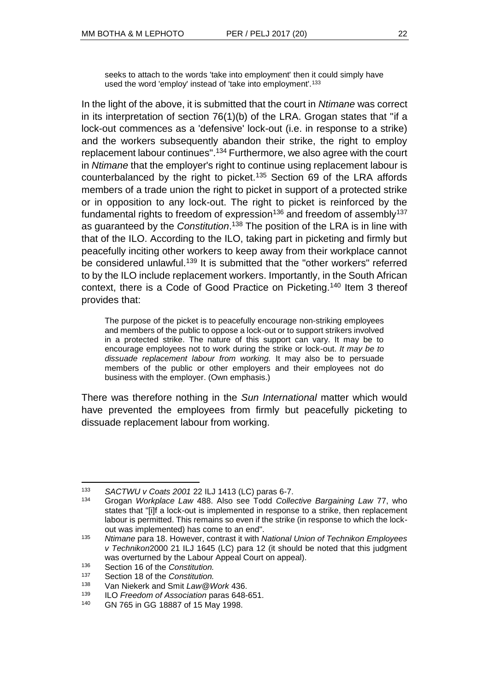seeks to attach to the words 'take into employment' then it could simply have used the word 'employ' instead of 'take into employment'.<sup>133</sup>

In the light of the above, it is submitted that the court in *Ntimane* was correct in its interpretation of section 76(1)(b) of the LRA. Grogan states that "if a lock-out commences as a 'defensive' lock-out (i.e. in response to a strike) and the workers subsequently abandon their strike, the right to employ replacement labour continues".<sup>134</sup> Furthermore, we also agree with the court in *Ntimane* that the employer's right to continue using replacement labour is counterbalanced by the right to picket.<sup>135</sup> Section 69 of the LRA affords members of a trade union the right to picket in support of a protected strike or in opposition to any lock-out. The right to picket is reinforced by the fundamental rights to freedom of expression<sup>136</sup> and freedom of assembly<sup>137</sup> as guaranteed by the *Constitution*. <sup>138</sup> The position of the LRA is in line with that of the ILO. According to the ILO, taking part in picketing and firmly but peacefully inciting other workers to keep away from their workplace cannot be considered unlawful.<sup>139</sup> It is submitted that the "other workers" referred to by the ILO include replacement workers. Importantly, in the South African context, there is a Code of Good Practice on Picketing.<sup>140</sup> Item 3 thereof provides that:

The purpose of the picket is to peacefully encourage non-striking employees and members of the public to oppose a lock-out or to support strikers involved in a protected strike. The nature of this support can vary. It may be to encourage employees not to work during the strike or lock-out. *It may be to dissuade replacement labour from working.* It may also be to persuade members of the public or other employers and their employees not do business with the employer. (Own emphasis.)

There was therefore nothing in the *Sun International* matter which would have prevented the employees from firmly but peacefully picketing to dissuade replacement labour from working.

<sup>133</sup> *SACTWU v Coats 2001* 22 ILJ 1413 (LC) paras 6-7.

<sup>134</sup> Grogan *Workplace Law* 488. Also see Todd *Collective Bargaining Law* 77, who states that "[i]f a lock-out is implemented in response to a strike, then replacement labour is permitted. This remains so even if the strike (in response to which the lockout was implemented) has come to an end".

<sup>135</sup> *Ntimane* para 18. However, contrast it with *National Union of Technikon Employees v Technikon*2000 21 ILJ 1645 (LC) para 12 (it should be noted that this judgment was overturned by the Labour Appeal Court on appeal).

<sup>136</sup> Section 16 of the *Constitution.*

<sup>137</sup> Section 18 of the *Constitution.*

<sup>138</sup> Van Niekerk and Smit *Law@Work* 436.

<sup>139</sup> ILO *Freedom of Association* paras 648-651.

<sup>140</sup> GN 765 in GG 18887 of 15 May 1998.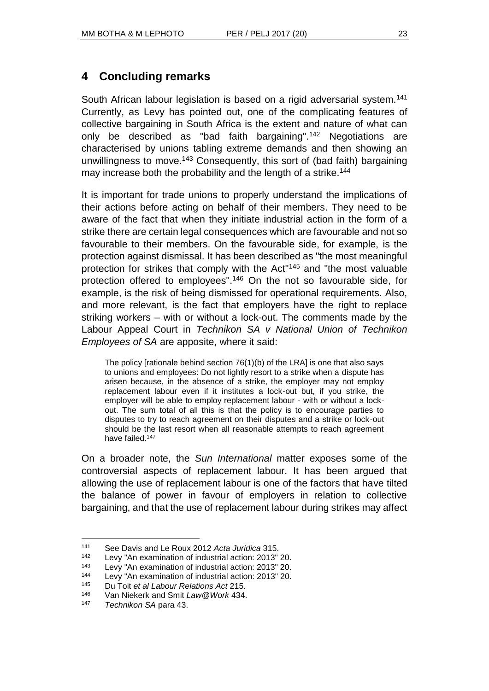# **4 Concluding remarks**

South African labour legislation is based on a rigid adversarial system.<sup>141</sup> Currently, as Levy has pointed out, one of the complicating features of collective bargaining in South Africa is the extent and nature of what can only be described as "bad faith bargaining".<sup>142</sup> Negotiations are characterised by unions tabling extreme demands and then showing an unwillingness to move.<sup>143</sup> Consequently, this sort of (bad faith) bargaining may increase both the probability and the length of a strike.<sup>144</sup>

It is important for trade unions to properly understand the implications of their actions before acting on behalf of their members. They need to be aware of the fact that when they initiate industrial action in the form of a strike there are certain legal consequences which are favourable and not so favourable to their members. On the favourable side, for example, is the protection against dismissal. It has been described as "the most meaningful protection for strikes that comply with the Act"<sup>145</sup> and "the most valuable protection offered to employees".<sup>146</sup> On the not so favourable side, for example, is the risk of being dismissed for operational requirements. Also, and more relevant, is the fact that employers have the right to replace striking workers – with or without a lock-out. The comments made by the Labour Appeal Court in *Technikon SA v National Union of Technikon Employees of SA* are apposite, where it said:

The policy [rationale behind section 76(1)(b) of the LRA] is one that also says to unions and employees: Do not lightly resort to a strike when a dispute has arisen because, in the absence of a strike, the employer may not employ replacement labour even if it institutes a lock-out but, if you strike, the employer will be able to employ replacement labour - with or without a lockout. The sum total of all this is that the policy is to encourage parties to disputes to try to reach agreement on their disputes and a strike or lock-out should be the last resort when all reasonable attempts to reach agreement have failed.<sup>147</sup>

On a broader note, the *Sun International* matter exposes some of the controversial aspects of replacement labour. It has been argued that allowing the use of replacement labour is one of the factors that have tilted the balance of power in favour of employers in relation to collective bargaining, and that the use of replacement labour during strikes may affect

<sup>141</sup> See Davis and Le Roux 2012 *Acta Juridica* 315.

<sup>142</sup> Levy "An examination of industrial action: 2013" 20.

<sup>143</sup> Levy "An examination of industrial action: 2013" 20.

<sup>&</sup>lt;sup>144</sup> Levy "An examination of industrial action: 2013" 20.<br><sup>145</sup> Pu Toit of all abour Belations Act 215.

<sup>145</sup> Du Toit *et al Labour Relations Act* 215.

<sup>146</sup> Van Niekerk and Smit *Law@Work* 434.

<sup>147</sup> *Technikon SA* para 43.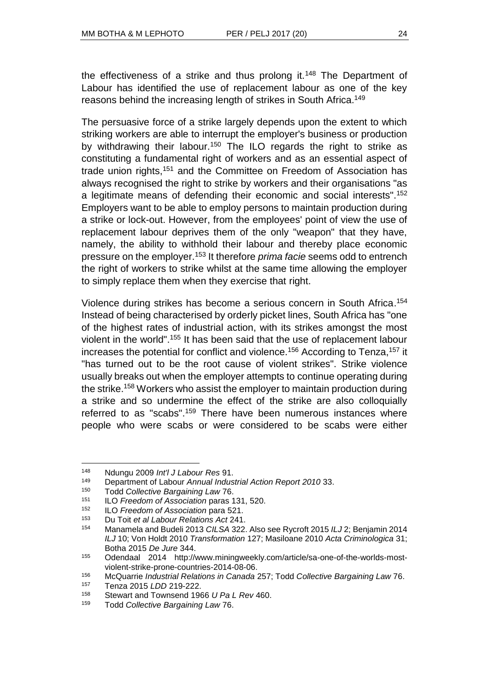the effectiveness of a strike and thus prolong it.<sup>148</sup> The Department of Labour has identified the use of replacement labour as one of the key reasons behind the increasing length of strikes in South Africa.<sup>149</sup>

The persuasive force of a strike largely depends upon the extent to which striking workers are able to interrupt the employer's business or production by withdrawing their labour.<sup>150</sup> The ILO regards the right to strike as constituting a fundamental right of workers and as an essential aspect of trade union rights,<sup>151</sup> and the Committee on Freedom of Association has always recognised the right to strike by workers and their organisations "as a legitimate means of defending their economic and social interests".<sup>152</sup> Employers want to be able to employ persons to maintain production during a strike or lock-out. However, from the employees' point of view the use of replacement labour deprives them of the only "weapon" that they have, namely, the ability to withhold their labour and thereby place economic pressure on the employer.<sup>153</sup> It therefore *prima facie* seems odd to entrench the right of workers to strike whilst at the same time allowing the employer to simply replace them when they exercise that right.

Violence during strikes has become a serious concern in South Africa. 154 Instead of being characterised by orderly picket lines, South Africa has "one of the highest rates of industrial action, with its strikes amongst the most violent in the world".<sup>155</sup> It has been said that the use of replacement labour increases the potential for conflict and violence.<sup>156</sup> According to Tenza,<sup>157</sup> it "has turned out to be the root cause of violent strikes". Strike violence usually breaks out when the employer attempts to continue operating during the strike.<sup>158</sup> Workers who assist the employer to maintain production during a strike and so undermine the effect of the strike are also colloquially referred to as "scabs".<sup>159</sup> There have been numerous instances where people who were scabs or were considered to be scabs were either

l

<sup>156</sup> McQuarrie *Industrial Relations in Canada* 257; Todd *Collective Bargaining Law* 76.

<sup>148</sup> Ndungu 2009 *Int'l J Labour Res* 91.

<sup>149</sup> Department of Labour *Annual Industrial Action Report 2010* 33.

<sup>150</sup> Todd *Collective Bargaining Law* 76.

<sup>151</sup> ILO *Freedom of Association* paras 131, 520.

<sup>152</sup> ILO *Freedom of Association* para 521.

<sup>153</sup> Du Toit *et al Labour Relations Act* 241.

<sup>154</sup> Manamela and Budeli 2013 *CILSA* 322. Also see Rycroft 2015 *ILJ* 2; Benjamin 2014 *ILJ* 10; Von Holdt 2010 *Transformation* 127; Masiloane 2010 *Acta Criminologica* 31; Botha 2015 *De Jure* 344.

<sup>155</sup> Odendaal 2014 http://www.miningweekly.com/article/sa-one-of-the-worlds-mostviolent-strike-prone-countries-2014-08-06.

<sup>157</sup> Tenza 2015 *LDD* 219-222.

<sup>158</sup> Stewart and Townsend 1966 *U Pa L Rev* 460.

<sup>159</sup> Todd *Collective Bargaining Law* 76.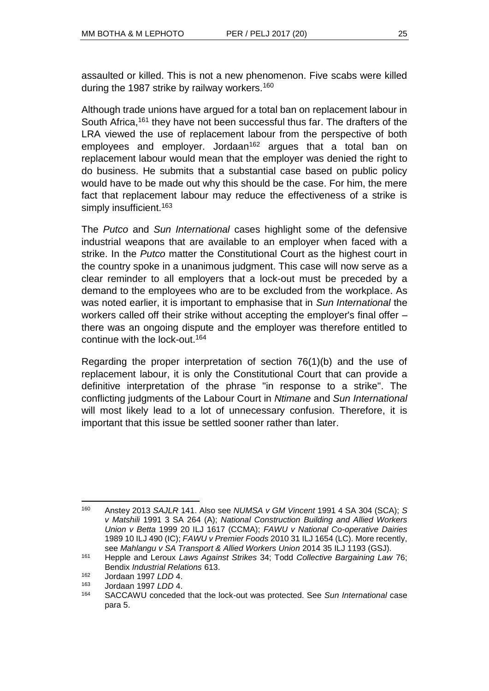assaulted or killed. This is not a new phenomenon. Five scabs were killed during the 1987 strike by railway workers.<sup>160</sup>

Although trade unions have argued for a total ban on replacement labour in South Africa,<sup>161</sup> they have not been successful thus far. The drafters of the LRA viewed the use of replacement labour from the perspective of both employees and employer. Jordaan<sup>162</sup> argues that a total ban on replacement labour would mean that the employer was denied the right to do business. He submits that a substantial case based on public policy would have to be made out why this should be the case. For him, the mere fact that replacement labour may reduce the effectiveness of a strike is simply insufficient.<sup>163</sup>

The *Putco* and *Sun International* cases highlight some of the defensive industrial weapons that are available to an employer when faced with a strike. In the *Putco* matter the Constitutional Court as the highest court in the country spoke in a unanimous judgment. This case will now serve as a clear reminder to all employers that a lock-out must be preceded by a demand to the employees who are to be excluded from the workplace. As was noted earlier, it is important to emphasise that in *Sun International* the workers called off their strike without accepting the employer's final offer – there was an ongoing dispute and the employer was therefore entitled to continue with the lock-out.<sup>164</sup>

Regarding the proper interpretation of section 76(1)(b) and the use of replacement labour, it is only the Constitutional Court that can provide a definitive interpretation of the phrase "in response to a strike". The conflicting judgments of the Labour Court in *Ntimane* and *Sun International* will most likely lead to a lot of unnecessary confusion. Therefore, it is important that this issue be settled sooner rather than later.

l <sup>160</sup> Anstey 2013 *SAJLR* 141. Also see *NUMSA v GM Vincent* 1991 4 SA 304 (SCA); *S v Matshili* 1991 3 SA 264 (A); *National Construction Building and Allied Workers Union v Betta* 1999 20 ILJ 1617 (CCMA); *FAWU v National Co-operative Dairies* 1989 10 ILJ 490 (IC); *FAWU v Premier Foods* 2010 31 ILJ 1654 (LC). More recently, see *Mahlangu v SA Transport & Allied Workers Union* 2014 35 ILJ 1193 (GSJ).

<sup>161</sup> Hepple and Leroux *Laws Against Strikes* 34; Todd *Collective Bargaining Law* 76; Bendix *Industrial Relations* 613.

<sup>162</sup> Jordaan 1997 *LDD* 4.

<sup>163</sup> Jordaan 1997 *LDD* 4.

<sup>164</sup> SACCAWU conceded that the lock-out was protected. See *Sun International* case para 5.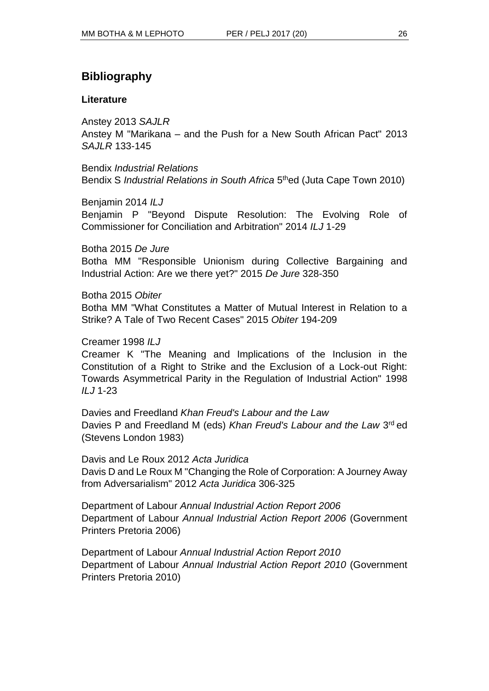# **Bibliography**

## **Literature**

Anstey 2013 *SAJLR*

Anstey M "Marikana – and the Push for a New South African Pact" 2013 *SAJLR* 133-145

Bendix *Industrial Relations* Bendix S *Industrial Relations in South Africa* 5<sup>th</sup>ed (Juta Cape Town 2010)

Benjamin 2014 *ILJ*

Benjamin P "Beyond Dispute Resolution: The Evolving Role of Commissioner for Conciliation and Arbitration" 2014 *ILJ* 1-29

Botha 2015 *De Jure*

Botha MM "Responsible Unionism during Collective Bargaining and Industrial Action: Are we there yet?" 2015 *De Jure* 328-350

Botha 2015 *Obiter*

Botha MM "What Constitutes a Matter of Mutual Interest in Relation to a Strike? A Tale of Two Recent Cases" 2015 *Obiter* 194-209

Creamer 1998 *ILJ*

Creamer K "The Meaning and Implications of the Inclusion in the Constitution of a Right to Strike and the Exclusion of a Lock-out Right: Towards Asymmetrical Parity in the Regulation of Industrial Action" 1998 *ILJ* 1-23

Davies and Freedland *Khan Freud's Labour and the Law* Davies P and Freedland M (eds) *Khan Freud's Labour and the Law* 3 rd ed (Stevens London 1983)

Davis and Le Roux 2012 *Acta Juridica* Davis D and Le Roux M "Changing the Role of Corporation: A Journey Away from Adversarialism" 2012 *Acta Juridica* 306-325

Department of Labour *Annual Industrial Action Report 2006* Department of Labour *Annual Industrial Action Report 2006* (Government Printers Pretoria 2006)

Department of Labour *Annual Industrial Action Report 2010*  Department of Labour *Annual Industrial Action Report 2010* (Government Printers Pretoria 2010)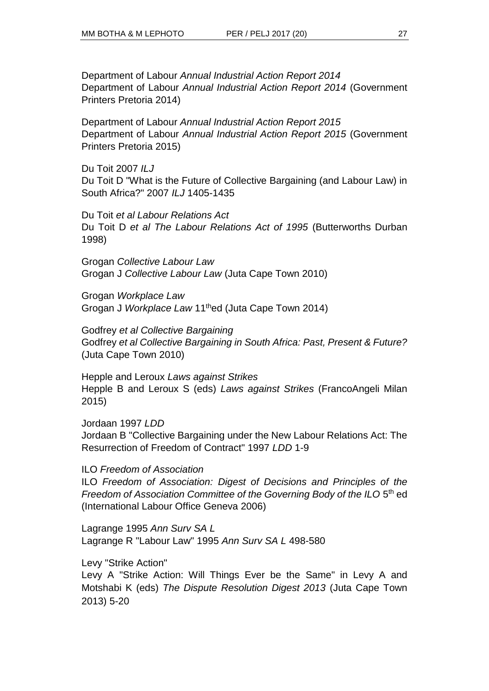Department of Labour *Annual Industrial Action Report 2014* Department of Labour *Annual Industrial Action Report 2014* (Government Printers Pretoria 2014)

Department of Labour *Annual Industrial Action Report 2015* Department of Labour *Annual Industrial Action Report 2015* (Government Printers Pretoria 2015)

Du Toit 2007 *ILJ* Du Toit D "What is the Future of Collective Bargaining (and Labour Law) in South Africa?" 2007 *ILJ* 1405-1435

Du Toit *et al Labour Relations Act* Du Toit D *et al The Labour Relations Act of 1995* (Butterworths Durban 1998)

Grogan *Collective Labour Law* Grogan J *Collective Labour Law* (Juta Cape Town 2010)

Grogan *Workplace Law* Grogan J *Workplace Law* 11thed (Juta Cape Town 2014)

Godfrey *et al Collective Bargaining*  Godfrey *et al Collective Bargaining in South Africa: Past, Present & Future?*  (Juta Cape Town 2010)

Hepple and Leroux *Laws against Strikes* Hepple B and Leroux S (eds) *Laws against Strikes* (FrancoAngeli Milan 2015)

Jordaan 1997 *LDD* Jordaan B "Collective Bargaining under the New Labour Relations Act: The Resurrection of Freedom of Contract" 1997 *LDD* 1-9

ILO *Freedom of Association*

ILO *Freedom of Association: Digest of Decisions and Principles of the*  Freedom of Association Committee of the Governing Body of the ILO 5<sup>th</sup> ed (International Labour Office Geneva 2006)

Lagrange 1995 *Ann Surv SA L* Lagrange R "Labour Law" 1995 *Ann Surv SA L* 498-580

Levy "Strike Action"

Levy A "Strike Action: Will Things Ever be the Same" in Levy A and Motshabi K (eds) *The Dispute Resolution Digest 2013* (Juta Cape Town 2013) 5-20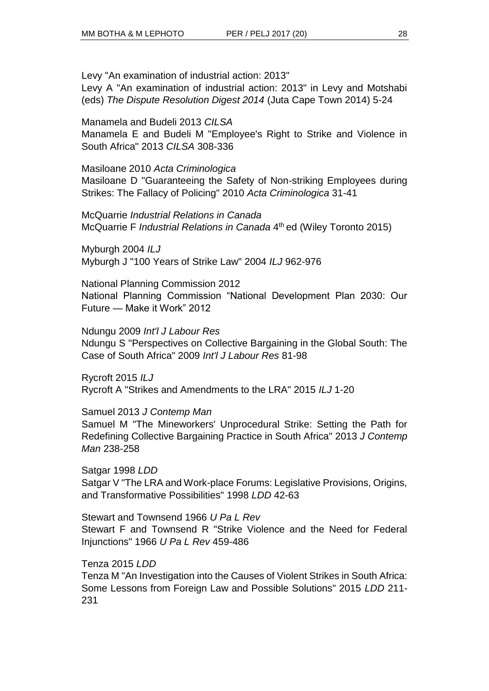Levy "An examination of industrial action: 2013" Levy A "An examination of industrial action: 2013" in Levy and Motshabi (eds) *The Dispute Resolution Digest 2014* (Juta Cape Town 2014) 5-24

Manamela and Budeli 2013 *CILSA*

Manamela E and Budeli M "Employee's Right to Strike and Violence in South Africa" 2013 *CILSA* 308-336

Masiloane 2010 *Acta Criminologica*

Masiloane D "Guaranteeing the Safety of Non-striking Employees during Strikes: The Fallacy of Policing" 2010 *Acta Criminologica* 31-41

McQuarrie *Industrial Relations in Canada* McQuarrie F *Industrial Relations in Canada* 4 th ed (Wiley Toronto 2015)

Myburgh 2004 *ILJ* Myburgh J "100 Years of Strike Law" 2004 *ILJ* 962-976

National Planning Commission 2012 National Planning Commission "National Development Plan 2030: Our Future — Make it Work" 2012

Ndungu 2009 *Int'l J Labour Res* Ndungu S "Perspectives on Collective Bargaining in the Global South: The Case of South Africa" 2009 *Int'l J Labour Res* 81-98

Rycroft 2015 *ILJ* Rycroft A "Strikes and Amendments to the LRA" 2015 *ILJ* 1-20

Samuel 2013 *J Contemp Man*

Samuel M "The Mineworkers' Unprocedural Strike: Setting the Path for Redefining Collective Bargaining Practice in South Africa" 2013 *J Contemp Man* 238-258

Satgar 1998 *LDD* Satgar V "The LRA and Work-place Forums: Legislative Provisions, Origins, and Transformative Possibilities" 1998 *LDD* 42-63

Stewart and Townsend 1966 *U Pa L Rev* Stewart F and Townsend R "Strike Violence and the Need for Federal Injunctions" 1966 *U Pa L Rev* 459-486

Tenza 2015 *LDD* 

Tenza M "An Investigation into the Causes of Violent Strikes in South Africa: Some Lessons from Foreign Law and Possible Solutions" 2015 *LDD* 211- 231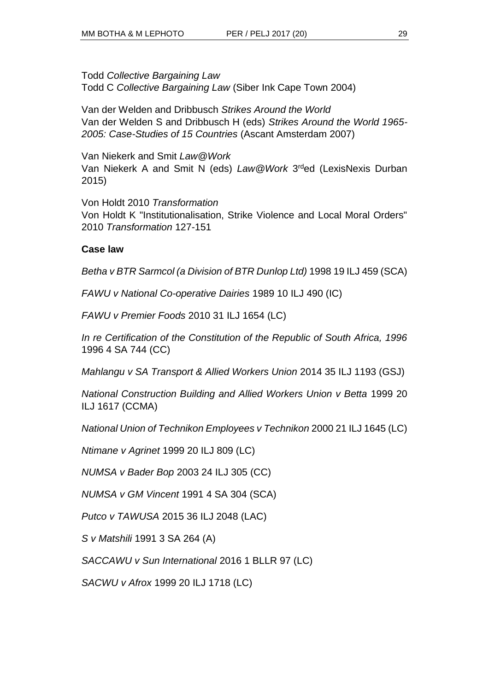Todd *Collective Bargaining Law* Todd C *Collective Bargaining Law* (Siber Ink Cape Town 2004)

Van der Welden and Dribbusch *Strikes Around the World* Van der Welden S and Dribbusch H (eds) *Strikes Around the World 1965- 2005: Case-Studies of 15 Countries* (Ascant Amsterdam 2007)

Van Niekerk and Smit *Law@Work*  Van Niekerk A and Smit N (eds) Law@Work 3<sup>rd</sup>ed (LexisNexis Durban 2015)

Von Holdt 2010 *Transformation*  Von Holdt K "Institutionalisation, Strike Violence and Local Moral Orders" 2010 *Transformation* 127-151

### **Case law**

*Betha v BTR Sarmcol (a Division of BTR Dunlop Ltd)* 1998 19 ILJ 459 (SCA)

*FAWU v National Co-operative Dairies* 1989 10 ILJ 490 (IC)

*FAWU v Premier Foods* 2010 31 ILJ 1654 (LC)

*In re Certification of the Constitution of the Republic of South Africa, 1996* 1996 4 SA 744 (CC)

*Mahlangu v SA Transport & Allied Workers Union* 2014 35 ILJ 1193 (GSJ)

*National Construction Building and Allied Workers Union v Betta* 1999 20 ILJ 1617 (CCMA)

*National Union of Technikon Employees v Technikon* 2000 21 ILJ 1645 (LC)

*Ntimane v Agrinet* 1999 20 ILJ 809 (LC)

*NUMSA v Bader Bop* 2003 24 ILJ 305 (CC)

*NUMSA v GM Vincent* 1991 4 SA 304 (SCA)

*Putco v TAWUSA* 2015 36 ILJ 2048 (LAC)

*S v Matshili* 1991 3 SA 264 (A)

*SACCAWU v Sun International* 2016 1 BLLR 97 (LC)

*SACWU v Afrox* 1999 20 ILJ 1718 (LC)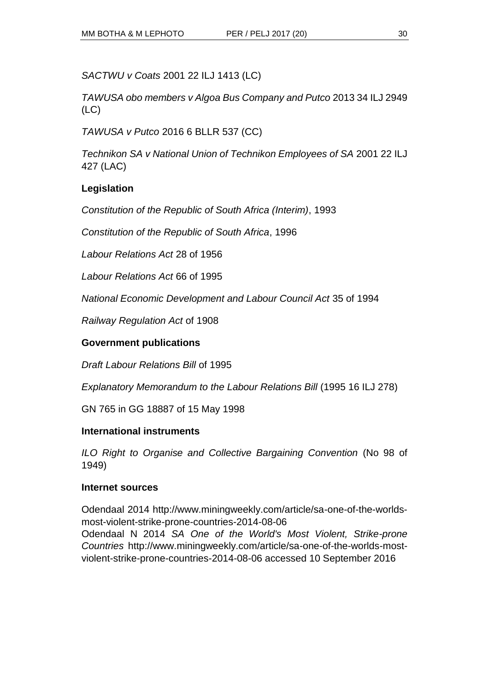*SACTWU v Coats* 2001 22 ILJ 1413 (LC)

*TAWUSA obo members v Algoa Bus Company and Putco* 2013 34 ILJ 2949 (LC)

*TAWUSA v Putco* 2016 6 BLLR 537 (CC)

*Technikon SA v National Union of Technikon Employees of SA* 2001 22 ILJ 427 (LAC)

# **Legislation**

*Constitution of the Republic of South Africa (Interim)*, 1993

*Constitution of the Republic of South Africa*, 1996

*Labour Relations Act* 28 of 1956

*Labour Relations Act* 66 of 1995

*National Economic Development and Labour Council Act* 35 of 1994

*Railway Regulation Act* of 1908

## **Government publications**

*Draft Labour Relations Bill* of 1995

*Explanatory Memorandum to the Labour Relations Bill* (1995 16 ILJ 278)

GN 765 in GG 18887 of 15 May 1998

### **International instruments**

*ILO Right to Organise and Collective Bargaining Convention* (No 98 of 1949)

### **Internet sources**

Odendaal 2014 http://www.miningweekly.com/article/sa-one-of-the-worldsmost-violent-strike-prone-countries-2014-08-06

Odendaal N 2014 *SA One of the World's Most Violent, Strike-prone Countries* http://www.miningweekly.com/article/sa-one-of-the-worlds-mostviolent-strike-prone-countries-2014-08-06 accessed 10 September 2016